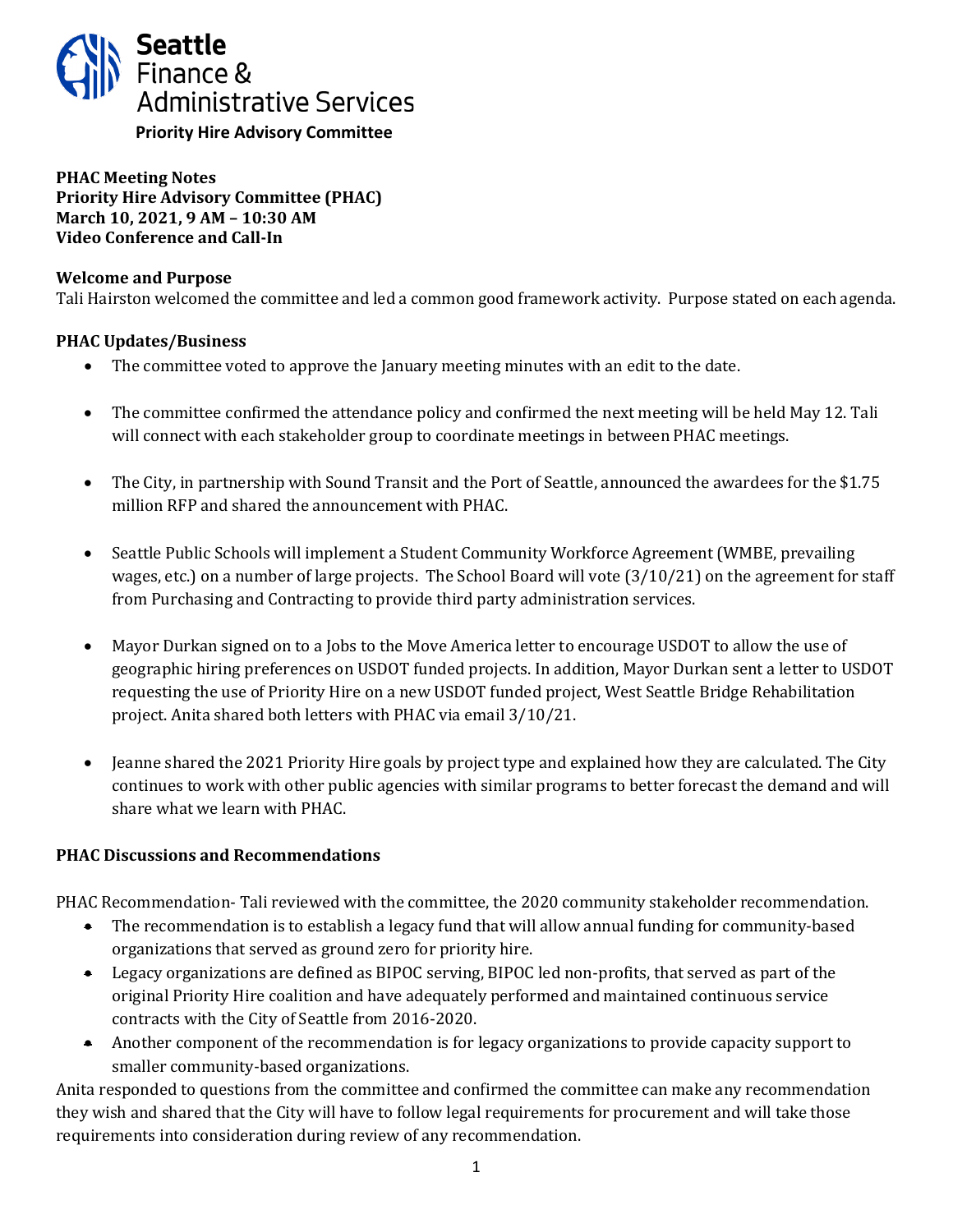

**PHAC Meeting Notes Priority Hire Advisory Committee (PHAC) March 10, 2021, 9 AM – 10:30 AM Video Conference and Call-In**

### **Welcome and Purpose**

Tali Hairston welcomed the committee and led a common good framework activity. Purpose stated on each agenda.

# **PHAC Updates/Business**

- The committee voted to approve the January meeting minutes with an edit to the date.
- The committee confirmed the attendance policy and confirmed the next meeting will be held May 12. Tali will connect with each stakeholder group to coordinate meetings in between PHAC meetings.
- The City, in partnership with Sound Transit and the Port of Seattle, announced the awardees for the \$1.75 million RFP and shared the announcement with PHAC.
- Seattle Public Schools will implement a Student Community Workforce Agreement (WMBE, prevailing wages, etc.) on a number of large projects. The School Board will vote (3/10/21) on the agreement for staff from Purchasing and Contracting to provide third party administration services.
- Mayor Durkan signed on to a Jobs to the Move America letter to encourage USDOT to allow the use of geographic hiring preferences on USDOT funded projects. In addition, Mayor Durkan sent a letter to USDOT requesting the use of Priority Hire on a new USDOT funded project, West Seattle Bridge Rehabilitation project. Anita shared both letters with PHAC via email 3/10/21.
- Jeanne shared the 2021 Priority Hire goals by project type and explained how they are calculated. The City continues to work with other public agencies with similar programs to better forecast the demand and will share what we learn with PHAC.

# **PHAC Discussions and Recommendations**

PHAC Recommendation- Tali reviewed with the committee, the 2020 community stakeholder recommendation.

- The recommendation is to establish a legacy fund that will allow annual funding for community-based organizations that served as ground zero for priority hire.
- Legacy organizations are defined as BIPOC serving, BIPOC led non-profits, that served as part of the original Priority Hire coalition and have adequately performed and maintained continuous service contracts with the City of Seattle from 2016-2020.
- Another component of the recommendation is for legacy organizations to provide capacity support to smaller community-based organizations.

Anita responded to questions from the committee and confirmed the committee can make any recommendation they wish and shared that the City will have to follow legal requirements for procurement and will take those requirements into consideration during review of any recommendation.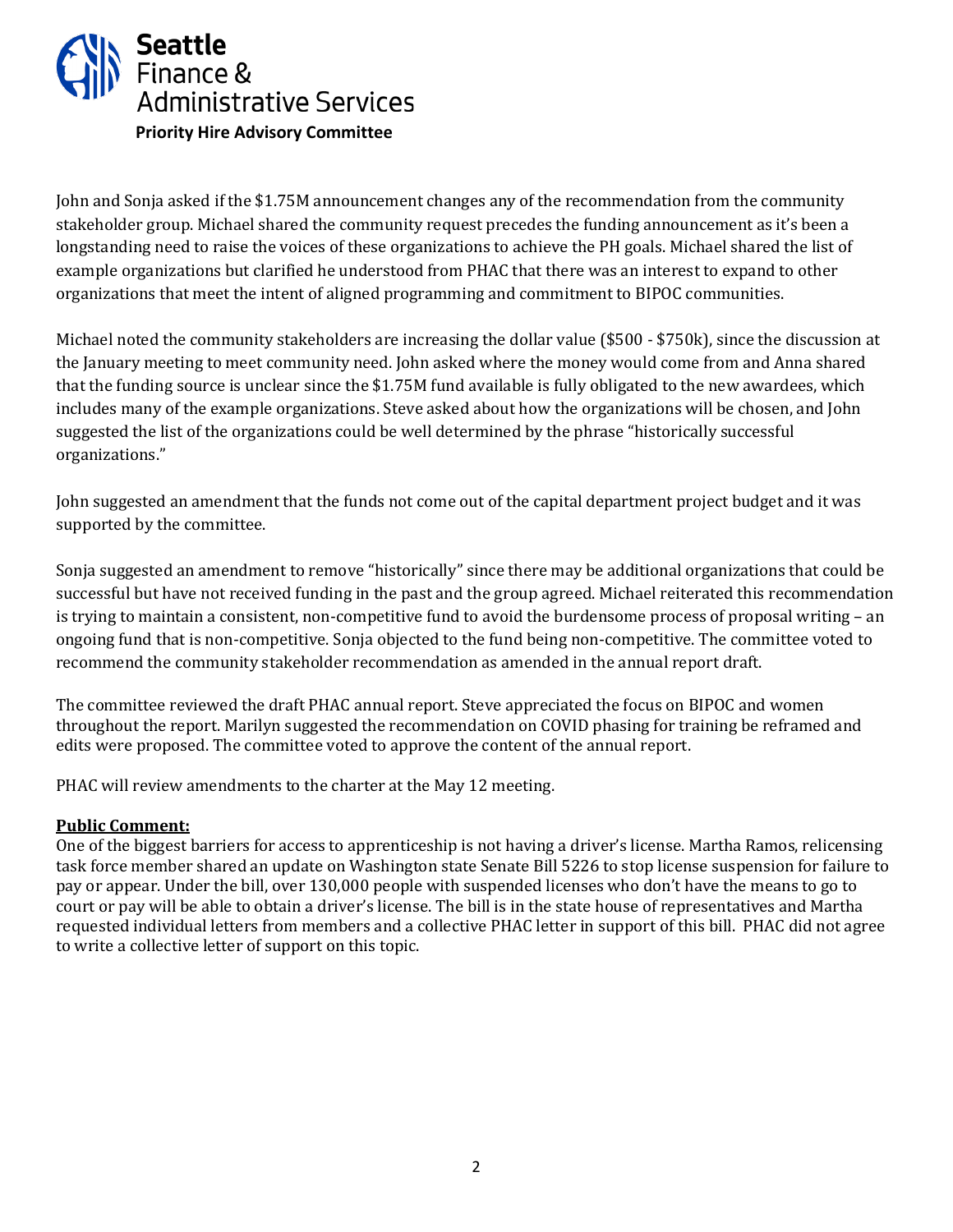

John and Sonja asked if the \$1.75M announcement changes any of the recommendation from the community stakeholder group. Michael shared the community request precedes the funding announcement as it's been a longstanding need to raise the voices of these organizations to achieve the PH goals. Michael shared the list of example organizations but clarified he understood from PHAC that there was an interest to expand to other organizations that meet the intent of aligned programming and commitment to BIPOC communities.

Michael noted the community stakeholders are increasing the dollar value (\$500 - \$750k), since the discussion at the January meeting to meet community need. John asked where the money would come from and Anna shared that the funding source is unclear since the \$1.75M fund available is fully obligated to the new awardees, which includes many of the example organizations. Steve asked about how the organizations will be chosen, and John suggested the list of the organizations could be well determined by the phrase "historically successful organizations."

John suggested an amendment that the funds not come out of the capital department project budget and it was supported by the committee.

Sonja suggested an amendment to remove "historically" since there may be additional organizations that could be successful but have not received funding in the past and the group agreed. Michael reiterated this recommendation is trying to maintain a consistent, non-competitive fund to avoid the burdensome process of proposal writing – an ongoing fund that is non-competitive. Sonja objected to the fund being non-competitive. The committee voted to recommend the community stakeholder recommendation as amended in the annual report draft.

The committee reviewed the draft PHAC annual report. Steve appreciated the focus on BIPOC and women throughout the report. Marilyn suggested the recommendation on COVID phasing for training be reframed and edits were proposed. The committee voted to approve the content of the annual report.

PHAC will review amendments to the charter at the May 12 meeting.

# **Public Comment:**

One of the biggest barriers for access to apprenticeship is not having a driver's license. Martha Ramos, relicensing task force member shared an update on Washington state Senate Bill 5226 to stop license suspension for failure to pay or appear. Under the bill, over 130,000 people with suspended licenses who don't have the means to go to court or pay will be able to obtain a driver's license. The bill is in the state house of representatives and Martha requested individual letters from members and a collective PHAC letter in support of this bill. PHAC did not agree to write a collective letter of support on this topic.